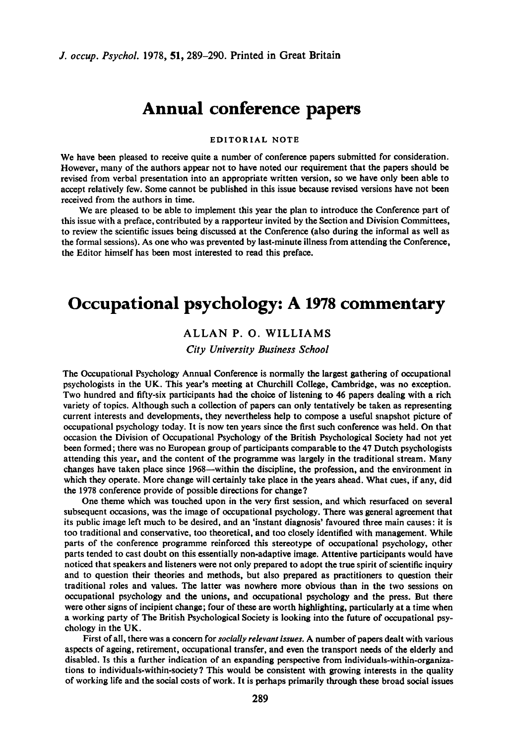# **Annual conference papers**

#### **EDITORIAL NOTE**

We have been pleased to receive quite a number of conference papers submitted for consideration. However, many of the authors appear not to have noted our requirement that the papers should be revised from verbal presentation into an appropriate written version, **so** we have only been able to accept relatively few. Some cannot be published in this issue because revised versions have not been received from the authors in time.

We are pleased to be able to implement this year the plan to introduce the Conference part of this issue with **a** preface, contributed by a rapporteur invited by the Section and Division Committees, to review the scientific issues being discussed at the Conference (also during the informal as well as the formal sessions). As one who was prevented by last-minute illness from attending the Conference, the Editor himself has been most interested to read this preface.

# **Occupational psychology: A 1978 commentary**

### **ALLAN** P. **0. WILLIAMS**

#### *City University Business School*

The Occupational Psychology Annual Conference is normally the largest gathering of occupational psychologists in the **UK.** This year's meeting at Churchill College, Cambridge, was no exception. Two hundred and fifty-six participants had the choice of listening to **46** papers dealing with a rich variety of topics. Although such a collection of papers can only tentatively be taken as representing current interests and developments, they nevertheless help to compose a useful snapshot picture of occupational psychology today. It is now ten years since the first such conference was held. On that occasion the Division of Occupational Psychology of the British Psychological Society had not yet been formed; there was no European group of participants comparable to the 47 Dutch psychologists attending this year, and the content of the programme was largely in the traditional stream. Many changes have taken place since 1968-within the discipline, the profession, and the environment in which they operate. More change will certainly take place in the years ahead. What cues, if any, did the 1978 conference provide of possible directions for change?

One theme which was touched upon in the very first session, and which resurfaced on several subsequent occasions, was the image of occupational psychology. There was general agreement that its public image left much to be desired, and an 'instant diagnosis' favoured three main causes: it is too traditional and conservative, too theoretical, and too closely identified with management. While parts of the conference programme reinforced this stereotype of occupational psychology, other parts tended to cast doubt on this essentially non-adaptive image. Attentive participants would have noticed that speakers and listeners were not only prepared to adopt the true spirit of scientific inquiry and to question their theories and methods, but also prepared as practitioners to question their traditional roles and values. The latter was nowhere more obvious than in the two sessions on occupational psychology and the unions, and occupational psychology and the press. But there were other signs of incipient change; four of these are worth highlighting, particularly at a time when a working party of The British Psychological Society is looking into the future of occupational psychology in the **UK.** 

First of all, there was a concern for socially *relevant issues.* A number of papers dealt with various aspects of ageing, retirement, occupational transfer, and even the transport needs of the elderly and disabled. Is this a further indication of an expanding perspective from **individuals-within-organiza**tions to **individuals-within-society** ? This would be consistent with growing interests in the quality of working life and the social costs of work. It is perhaps primarily through these broad social issues